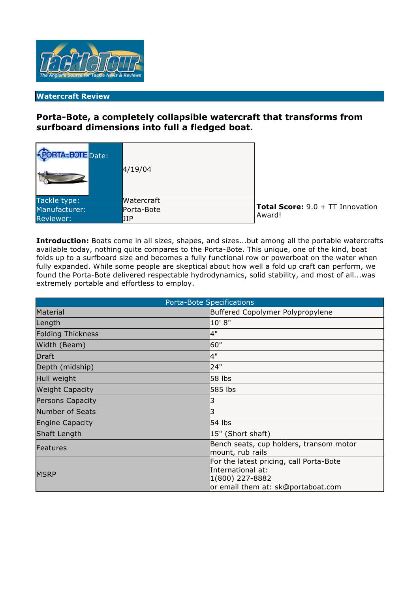

## **Watercraft Review**

# **Porta-Bote, a completely collapsible watercraft that transforms from surfboard dimensions into full a fledged boat.**

| - <b>PORTA-BOTE</b> Date: | 4/19/04    |                                           |
|---------------------------|------------|-------------------------------------------|
| Tackle type:              | Watercraft |                                           |
| Manufacturer:             | Porta-Bote | <b>Total Score:</b> $9.0 + TT$ Innovation |
| <b>Reviewer:</b>          | JIP        | Award!                                    |

**Introduction:** Boats come in all sizes, shapes, and sizes...but among all the portable watercrafts available today, nothing quite compares to the Porta-Bote. This unique, one of the kind, boat folds up to a surfboard size and becomes a fully functional row or powerboat on the water when fully expanded. While some people are skeptical about how well a fold up craft can perform, we found the Porta-Bote delivered respectable hydrodynamics, solid stability, and most of all...was extremely portable and effortless to employ.

| <b>Porta-Bote Specifications</b> |                                                                                                                       |  |  |
|----------------------------------|-----------------------------------------------------------------------------------------------------------------------|--|--|
| Material                         | Buffered Copolymer Polypropylene                                                                                      |  |  |
| Length                           | 10' 8"                                                                                                                |  |  |
| <b>Folding Thickness</b>         | 4"                                                                                                                    |  |  |
| Width (Beam)                     | 60"                                                                                                                   |  |  |
| <b>Draft</b>                     | 4"                                                                                                                    |  |  |
| Depth (midship)                  | 24"                                                                                                                   |  |  |
| Hull weight                      | 58 lbs                                                                                                                |  |  |
| <b>Weight Capacity</b>           | 585 lbs                                                                                                               |  |  |
| Persons Capacity                 |                                                                                                                       |  |  |
| <b>Number of Seats</b>           |                                                                                                                       |  |  |
| <b>Engine Capacity</b>           | $54$ lbs                                                                                                              |  |  |
| <b>Shaft Length</b>              | 15" (Short shaft)                                                                                                     |  |  |
| <b>Features</b>                  | Bench seats, cup holders, transom motor<br>mount, rub rails                                                           |  |  |
| <b>MSRP</b>                      | For the latest pricing, call Porta-Bote<br>International at:<br>1(800) 227-8882<br>or email them at: sk@portaboat.com |  |  |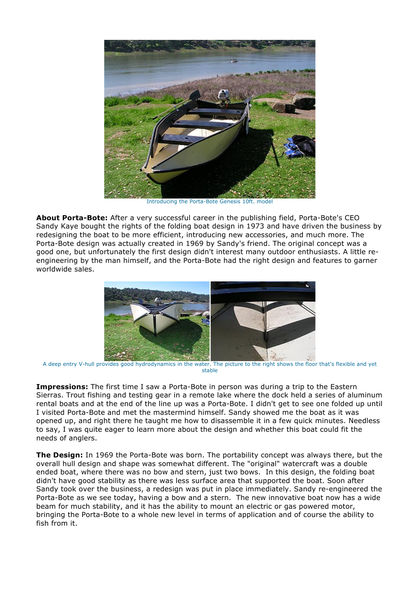

Introducing the Porta-Bote Genesis 10ft. model

**About Porta-Bote:** After a very successful career in the publishing field, Porta-Bote's CEO Sandy Kaye bought the rights of the folding boat design in 1973 and have driven the business by redesigning the boat to be more efficient, introducing new accessories, and much more. The Porta-Bote design was actually created in 1969 by Sandy's friend. The original concept was a good one, but unfortunately the first design didn't interest many outdoor enthusiasts. A little reengineering by the man himself, and the Porta-Bote had the right design and features to garner worldwide sales.



A deep entry V-hull provides good hydrodynamics in the water. The picture to the right shows the floor that's flexible and yet stable

**Impressions:** The first time I saw a Porta-Bote in person was during a trip to the Eastern Sierras. Trout fishing and testing gear in a remote lake where the dock held a series of aluminum rental boats and at the end of the line up was a Porta-Bote. I didn't get to see one folded up until I visited Porta-Bote and met the mastermind himself. Sandy showed me the boat as it was opened up, and right there he taught me how to disassemble it in a few quick minutes. Needless to say, I was quite eager to learn more about the design and whether this boat could fit the needs of anglers.

**The Design:** In 1969 the Porta-Bote was born. The portability concept was always there, but the overall hull design and shape was somewhat different. The "original" watercraft was a double ended boat, where there was no bow and stern, just two bows. In this design, the folding boat didn't have good stability as there was less surface area that supported the boat. Soon after Sandy took over the business, a redesign was put in place immediately. Sandy re-engineered the Porta-Bote as we see today, having a bow and a stern. The new innovative boat now has a wide beam for much stability, and it has the ability to mount an electric or gas powered motor, bringing the Porta-Bote to a whole new level in terms of application and of course the ability to fish from it.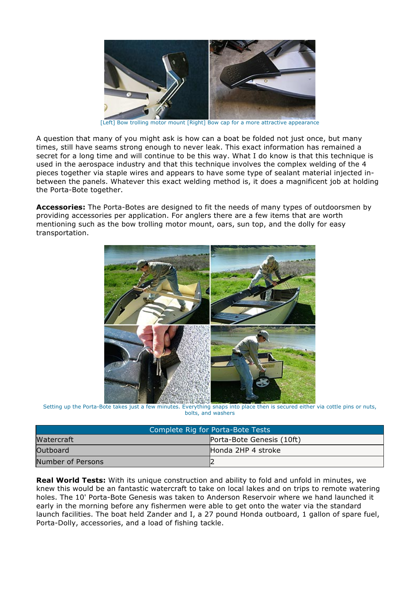

[Left] Bow trolling motor mount [Right] Bow cap for a more attractive appearance

A question that many of you might ask is how can a boat be folded not just once, but many times, still have seams strong enough to never leak. This exact information has remained a secret for a long time and will continue to be this way. What I do know is that this technique is used in the aerospace industry and that this technique involves the complex welding of the 4 pieces together via staple wires and appears to have some type of sealant material injected inbetween the panels. Whatever this exact welding method is, it does a magnificent job at holding the Porta-Bote together.

**Accessories:** The Porta-Botes are designed to fit the needs of many types of outdoorsmen by providing accessories per application. For anglers there are a few items that are worth mentioning such as the bow trolling motor mount, oars, sun top, and the dolly for easy transportation.



Setting up the Porta-Bote takes just a few minutes. Everything snaps into place then is secured either via cottle pins or nuts, bolts, and washers

| Complete Rig for Porta-Bote Tests |                           |  |
|-----------------------------------|---------------------------|--|
| Watercraft                        | Porta-Bote Genesis (10ft) |  |
| Outboard                          | Honda 2HP 4 stroke        |  |
| Number of Persons                 |                           |  |

**Real World Tests:** With its unique construction and ability to fold and unfold in minutes, we knew this would be an fantastic watercraft to take on local lakes and on trips to remote watering holes. The 10' Porta-Bote Genesis was taken to Anderson Reservoir where we hand launched it early in the morning before any fishermen were able to get onto the water via the standard launch facilities. The boat held Zander and I, a 27 pound Honda outboard, 1 gallon of spare fuel, Porta-Dolly, accessories, and a load of fishing tackle.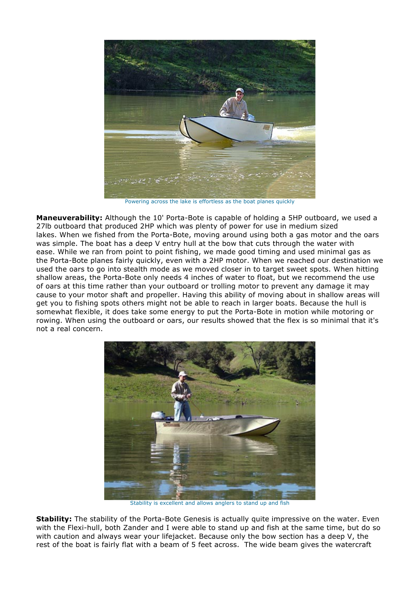

Powering across the lake is effortless as the boat planes quickly

**Maneuverability:** Although the 10' Porta-Bote is capable of holding a 5HP outboard, we used a 27lb outboard that produced 2HP which was plenty of power for use in medium sized lakes. When we fished from the Porta-Bote, moving around using both a gas motor and the oars was simple. The boat has a deep V entry hull at the bow that cuts through the water with ease. While we ran from point to point fishing, we made good timing and used minimal gas as the Porta-Bote planes fairly quickly, even with a 2HP motor. When we reached our destination we used the oars to go into stealth mode as we moved closer in to target sweet spots. When hitting shallow areas, the Porta-Bote only needs 4 inches of water to float, but we recommend the use of oars at this time rather than your outboard or trolling motor to prevent any damage it may cause to your motor shaft and propeller. Having this ability of moving about in shallow areas will get you to fishing spots others might not be able to reach in larger boats. Because the hull is somewhat flexible, it does take some energy to put the Porta-Bote in motion while motoring or rowing. When using the outboard or oars, our results showed that the flex is so minimal that it's not a real concern.



Stability is excellent and allows anglers to stand up and fish

**Stability:** The stability of the Porta-Bote Genesis is actually quite impressive on the water. Even with the Flexi-hull, both Zander and I were able to stand up and fish at the same time, but do so with caution and always wear your lifejacket. Because only the bow section has a deep V, the rest of the boat is fairly flat with a beam of 5 feet across. The wide beam gives the watercraft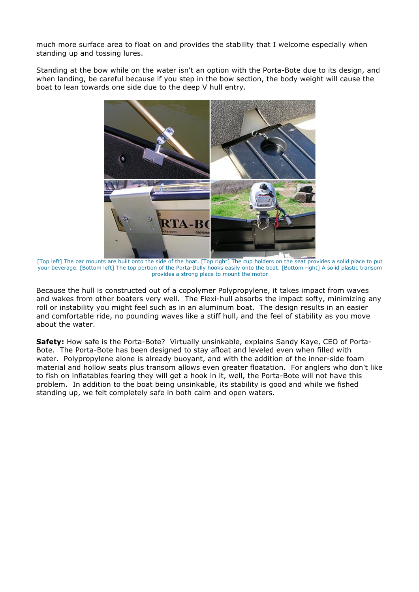much more surface area to float on and provides the stability that I welcome especially when standing up and tossing lures.

Standing at the bow while on the water isn't an option with the Porta-Bote due to its design, and when landing, be careful because if you step in the bow section, the body weight will cause the boat to lean towards one side due to the deep V hull entry.



[Top left] The oar mounts are built onto the side of the boat. [Top right] The cup holders on the seat provides a solid place to put your beverage. [Bottom left] The top portion of the Porta-Dolly hooks easily onto the boat. [Bottom right] A solid plastic transom provides a strong place to mount the motor

Because the hull is constructed out of a copolymer Polypropylene, it takes impact from waves and wakes from other boaters very well. The Flexi-hull absorbs the impact softy, minimizing any roll or instability you might feel such as in an aluminum boat. The design results in an easier and comfortable ride, no pounding waves like a stiff hull, and the feel of stability as you move about the water.

**Safety:** How safe is the Porta-Bote? Virtually unsinkable, explains Sandy Kaye, CEO of Porta-Bote. The Porta-Bote has been designed to stay afloat and leveled even when filled with water. Polypropylene alone is already buoyant, and with the addition of the inner-side foam material and hollow seats plus transom allows even greater floatation. For anglers who don't like to fish on inflatables fearing they will get a hook in it, well, the Porta-Bote will not have this problem. In addition to the boat being unsinkable, its stability is good and while we fished standing up, we felt completely safe in both calm and open waters.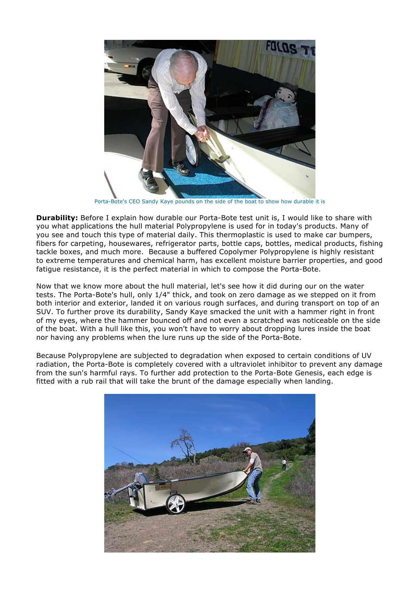

Porta-Bote's CEO Sandy Kaye pounds on the side of the boat to show how durable it is

**Durability:** Before I explain how durable our Porta-Bote test unit is, I would like to share with you what applications the hull material Polypropylene is used for in today's products. Many of you see and touch this type of material daily. This thermoplastic is used to make car bumpers, fibers for carpeting, housewares, refrigerator parts, bottle caps, bottles, medical products, fishing tackle boxes, and much more. Because a buffered Copolymer Polypropylene is highly resistant to extreme temperatures and chemical harm, has excellent moisture barrier properties, and good fatigue resistance, it is the perfect material in which to compose the Porta-Bote.

Now that we know more about the hull material, let's see how it did during our on the water tests. The Porta-Bote's hull, only 1/4" thick, and took on zero damage as we stepped on it from both interior and exterior, landed it on various rough surfaces, and during transport on top of an SUV. To further prove its durability, Sandy Kaye smacked the unit with a hammer right in front of my eyes, where the hammer bounced off and not even a scratched was noticeable on the side of the boat. With a hull like this, you won't have to worry about dropping lures inside the boat nor having any problems when the lure runs up the side of the Porta-Bote.

Because Polypropylene are subjected to degradation when exposed to certain conditions of UV radiation, the Porta-Bote is completely covered with a ultraviolet inhibitor to prevent any damage from the sun's harmful rays. To further add protection to the Porta-Bote Genesis, each edge is fitted with a rub rail that will take the brunt of the damage especially when landing.

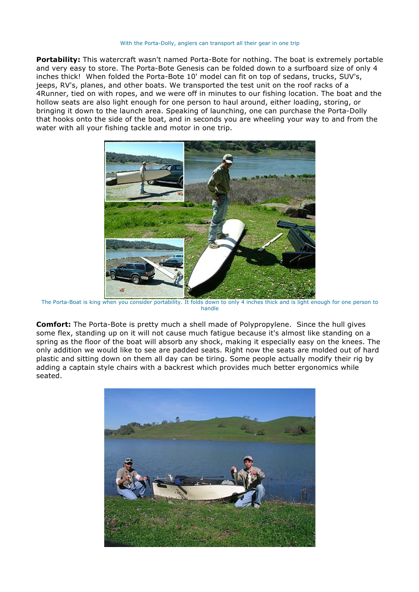#### With the Porta-Dolly, anglers can transport all their gear in one trip

**Portability:** This watercraft wasn't named Porta-Bote for nothing. The boat is extremely portable and very easy to store. The Porta-Bote Genesis can be folded down to a surfboard size of only 4 inches thick! When folded the Porta-Bote 10' model can fit on top of sedans, trucks, SUV's, jeeps, RV's, planes, and other boats. We transported the test unit on the roof racks of a 4Runner, tied on with ropes, and we were off in minutes to our fishing location. The boat and the hollow seats are also light enough for one person to haul around, either loading, storing, or bringing it down to the launch area. Speaking of launching, one can purchase the Porta-Dolly that hooks onto the side of the boat, and in seconds you are wheeling your way to and from the water with all your fishing tackle and motor in one trip.



The Porta-Boat is king when you consider portability. It folds down to only 4 inches thick and is light enough for one person to handle

**Comfort:** The Porta-Bote is pretty much a shell made of Polypropylene. Since the hull gives some flex, standing up on it will not cause much fatigue because it's almost like standing on a spring as the floor of the boat will absorb any shock, making it especially easy on the knees. The only addition we would like to see are padded seats. Right now the seats are molded out of hard plastic and sitting down on them all day can be tiring. Some people actually modify their rig by adding a captain style chairs with a backrest which provides much better ergonomics while seated.